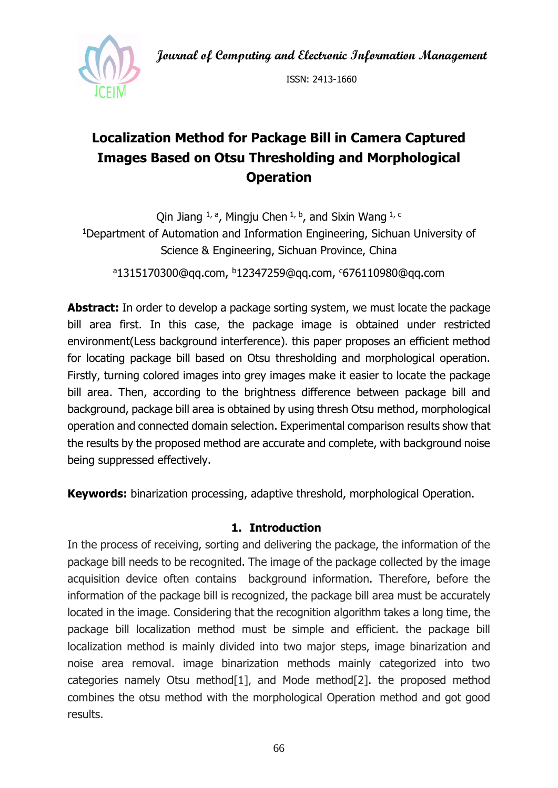**Journal of Computing and Electronic Information Management**



ISSN: 2413-1660

# **Localization Method for Package Bill in Camera Captured Images Based on Otsu Thresholding and Morphological Operation**

Qin Jiang  $1, a$ , Mingju Chen  $1, b$ , and Sixin Wang  $1, c$ <sup>1</sup>Department of Automation and Information Engineering, Sichuan University of Science & Engineering, Sichuan Province, China <sup>a</sup>1315170300@qq.com, <sup>b</sup>12347259@qq.com, <sup>c</sup>676110980@qq.com

**Abstract:** In order to develop a package sorting system, we must locate the package bill area first. In this case, the package image is obtained under restricted environment(Less background interference). this paper proposes an efficient method for locating package bill based on Otsu thresholding and morphological operation. Firstly, turning colored images into grey images make it easier to locate the package bill area. Then, according to the brightness difference between package bill and background, package bill area is obtained by using thresh Otsu method, morphological operation and connected domain selection. Experimental comparison results show that the results by the proposed method are accurate and complete, with background noise being suppressed effectively.

**Keywords:** binarization processing, adaptive threshold, morphological Operation.

#### **1. Introduction**

In the process of receiving, sorting and delivering the package, the information of the package bill needs to be recognited. The image of the package collected by the image acquisition device often contains background information. Therefore, before the information of the package bill is recognized, the package bill area must be accurately located in the image. Considering that the recognition algorithm takes a long time, the package bill localization method must be simple and efficient. the package bill localization method is mainly divided into two major steps, image binarization and noise area removal. image binarization methods mainly categorized into two categories namely Otsu method[1], and Mode method[2]. the proposed method combines the otsu method with the morphological Operation method and got good results.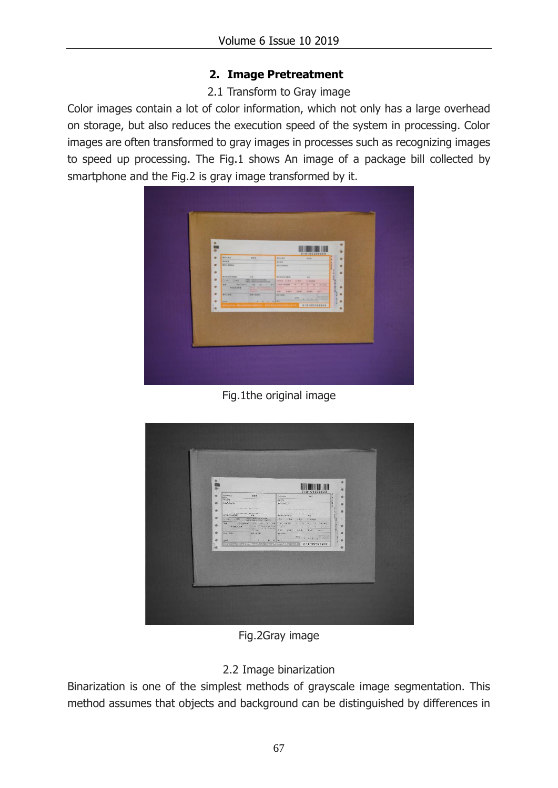## **2. Image Pretreatment**

### 2.1 Transform to Gray image

Color images contain a lot of color information, which not only has a large overhead on storage, but also reduces the execution speed of the system in processing. Color images are often transformed to gray images in processes such as recognizing images to speed up processing. The Fig.1 shows An image of a package bill collected by smartphone and the Fig.2 is gray image transformed by it.

| ۰<br>۰<br><b>WHAME</b><br>۰<br>$n \times n$                                               | 618100398969<br><b>ANLES</b><br><b>CONTRACTOR</b>                                              | ٠                                |
|-------------------------------------------------------------------------------------------|------------------------------------------------------------------------------------------------|----------------------------------|
| <b>BOAM</b><br>$\bullet$<br>●の人体設施は                                                       | <b>ROAM</b><br><b>GRADERS</b>                                                                  | $\bullet$                        |
| $\bullet$<br>CHR CHA HOLMSHOWER<br>$\bullet$<br>$\bullet$<br>$\bullet$<br>t.<br>$\bullet$ | $-70$<br>Hend Cine Clem Cleans<br>2 2 2 3<br>Cime mess<br><b>HINKI</b><br><b>TABLE OF</b><br>٠ | $\bullet$<br>٠<br>$\bullet$<br>٠ |

Fig.1the original image



Fig.2Gray image

# 2.2 Image binarization

Binarization is one of the simplest methods of grayscale image segmentation. This method assumes that objects and background can be distinguished by differences in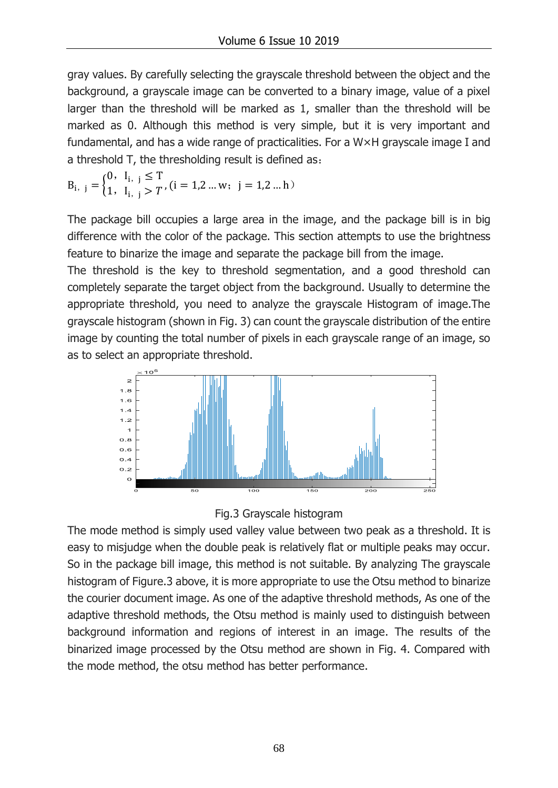gray values. By carefully selecting the grayscale threshold between the object and the background, a grayscale image can be converted to a binary image, value of a pixel larger than the threshold will be marked as 1, smaller than the threshold will be marked as 0. Although this method is very simple, but it is very important and fundamental, and has a wide range of practicalities. For a W×H grayscale image I and a threshold T, the thresholding result is defined as:

$$
B_{i, j} = \begin{cases} 0, & I_{i, j} \leq T \\ 1, & I_{i, j} > T \end{cases}, (i = 1, 2 \ldots w; j = 1, 2 \ldots h)
$$

The package bill occupies a large area in the image, and the package bill is in big difference with the color of the package. This section attempts to use the brightness feature to binarize the image and separate the package bill from the image.

The threshold is the key to threshold segmentation, and a good threshold can completely separate the target object from the background. Usually to determine the appropriate threshold, you need to analyze the grayscale Histogram of image.The grayscale histogram (shown in Fig. 3) can count the grayscale distribution of the entire image by counting the total number of pixels in each grayscale range of an image, so as to select an appropriate threshold.





The mode method is simply used valley value between two peak as a threshold. It is easy to misjudge when the double peak is relatively flat or multiple peaks may occur. So in the package bill image, this method is not suitable. By analyzing The grayscale histogram of Figure.3 above, it is more appropriate to use the Otsu method to binarize the courier document image. As one of the adaptive threshold methods, As one of the adaptive threshold methods, the Otsu method is mainly used to distinguish between background information and regions of interest in an image. The results of the binarized image processed by the Otsu method are shown in Fig. 4. Compared with the mode method, the otsu method has better performance.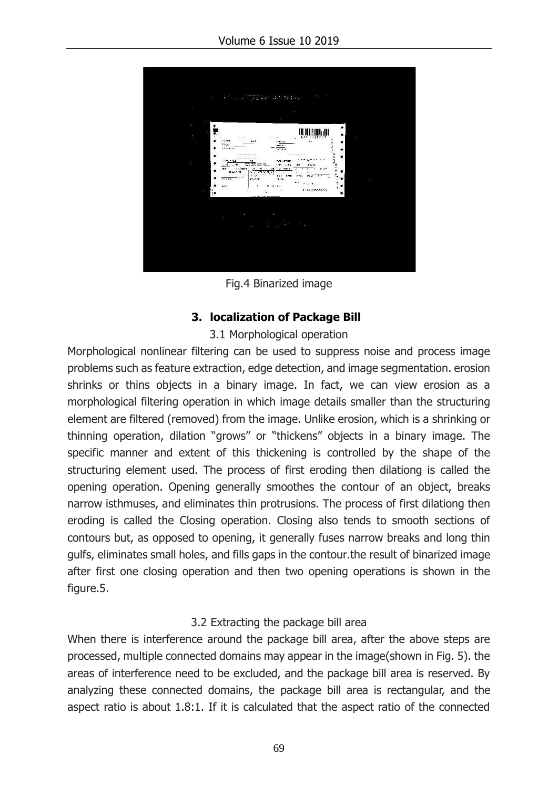

Fig.4 Binarized image

### **3. localization of Package Bill**

#### 3.1 Morphological operation

Morphological nonlinear filtering can be used to suppress noise and process image problems such as feature extraction, edge detection, and image segmentation. erosion shrinks or thins objects in a binary image. In fact, we can view erosion as a morphological filtering operation in which image details smaller than the structuring element are filtered (removed) from the image. Unlike erosion, which is a shrinking or thinning operation, dilation "grows" or "thickens" objects in a binary image. The specific manner and extent of this thickening is controlled by the shape of the structuring element used. The process of first eroding then dilationg is called the opening operation. Opening generally smoothes the contour of an object, breaks narrow isthmuses, and eliminates thin protrusions. The process of first dilationg then eroding is called the Closing operation. Closing also tends to smooth sections of contours but, as opposed to opening, it generally fuses narrow breaks and long thin gulfs, eliminates small holes, and fills gaps in the contour.the result of binarized image after first one closing operation and then two opening operations is shown in the figure.5.

#### 3.2 Extracting the package bill area

When there is interference around the package bill area, after the above steps are processed, multiple connected domains may appear in the image(shown in Fig. 5). the areas of interference need to be excluded, and the package bill area is reserved. By analyzing these connected domains, the package bill area is rectangular, and the aspect ratio is about 1.8:1. If it is calculated that the aspect ratio of the connected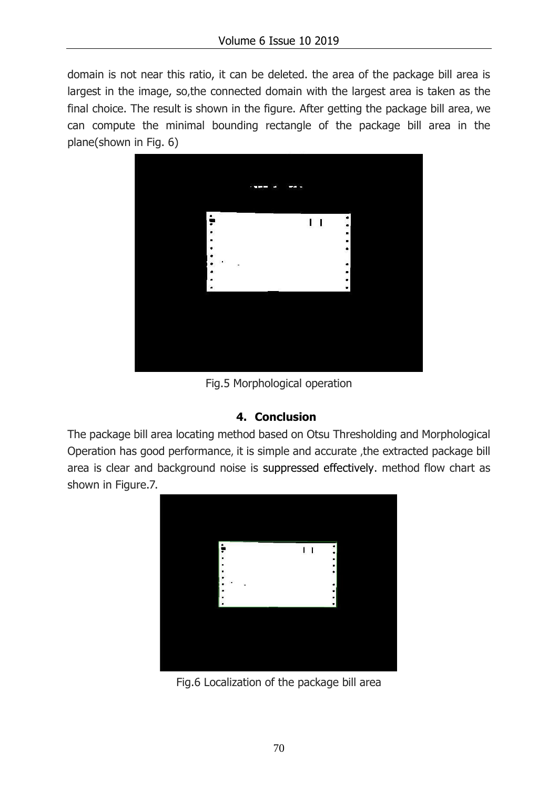domain is not near this ratio, it can be deleted. the area of the package bill area is largest in the image, so,the connected domain with the largest area is taken as the final choice. The result is shown in the figure. After getting the package bill area, we can compute the minimal bounding rectangle of the package bill area in the plane(shown in Fig. 6)



Fig.5 Morphological operation

#### **4. Conclusion**

The package bill area locating method based on Otsu Thresholding and Morphological Operation has good performance, it is simple and accurate ,the extracted package bill area is clear and background noise is suppressed effectively. method flow chart as shown in Figure.7.



Fig.6 Localization of the package bill area